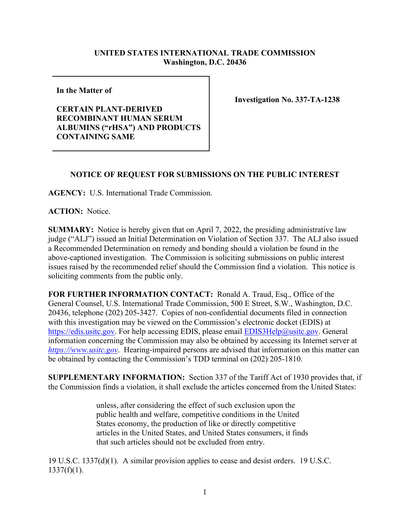## **UNITED STATES INTERNATIONAL TRADE COMMISSION Washington, D.C. 20436**

**In the Matter of** 

## **CERTAIN PLANT-DERIVED RECOMBINANT HUMAN SERUM ALBUMINS ("rHSA") AND PRODUCTS CONTAINING SAME**

**Investigation No. 337-TA-1238**

## **NOTICE OF REQUEST FOR SUBMISSIONS ON THE PUBLIC INTEREST**

**AGENCY:** U.S. International Trade Commission.

**ACTION:** Notice.

**SUMMARY:** Notice is hereby given that on April 7, 2022, the presiding administrative law judge ("ALJ") issued an Initial Determination on Violation of Section 337. The ALJ also issued a Recommended Determination on remedy and bonding should a violation be found in the above-captioned investigation. The Commission is soliciting submissions on public interest issues raised by the recommended relief should the Commission find a violation. This notice is soliciting comments from the public only.

**FOR FURTHER INFORMATION CONTACT:** Ronald A. Traud, Esq., Office of the General Counsel, U.S. International Trade Commission, 500 E Street, S.W., Washington, D.C. 20436, telephone (202) 205-3427. Copies of non-confidential documents filed in connection with this investigation may be viewed on the Commission's electronic docket (EDIS) at [https://edis.usitc.gov.](https://edis.usitc.gov/) For help accessing EDIS, please email [EDIS3Help@usitc.gov.](mailto:EDIS3Help@usitc.gov) General information concerning the Commission may also be obtained by accessing its Internet server at *[https://www.usitc.gov](https://www.usitc.gov/)*. Hearing-impaired persons are advised that information on this matter can be obtained by contacting the Commission's TDD terminal on (202) 205-1810.

**SUPPLEMENTARY INFORMATION:** Section 337 of the Tariff Act of 1930 provides that, if the Commission finds a violation, it shall exclude the articles concerned from the United States:

> unless, after considering the effect of such exclusion upon the public health and welfare, competitive conditions in the United States economy, the production of like or directly competitive articles in the United States, and United States consumers, it finds that such articles should not be excluded from entry.

19 U.S.C. 1337(d)(1). A similar provision applies to cease and desist orders. 19 U.S.C.  $1337(f)(1)$ .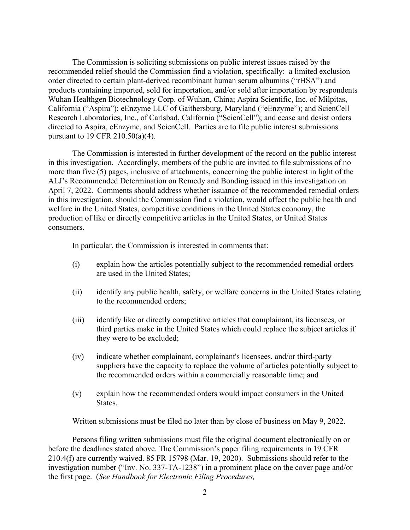The Commission is soliciting submissions on public interest issues raised by the recommended relief should the Commission find a violation, specifically: a limited exclusion order directed to certain plant-derived recombinant human serum albumins ("rHSA") and products containing imported, sold for importation, and/or sold after importation by respondents Wuhan Healthgen Biotechnology Corp. of Wuhan, China; Aspira Scientific, Inc. of Milpitas, California ("Aspira"); eEnzyme LLC of Gaithersburg, Maryland ("eEnzyme"); and ScienCell Research Laboratories, Inc., of Carlsbad, California ("ScienCell"); and cease and desist orders directed to Aspira, eEnzyme, and ScienCell. Parties are to file public interest submissions pursuant to 19 CFR 210.50(a)(4).

The Commission is interested in further development of the record on the public interest in this investigation. Accordingly, members of the public are invited to file submissions of no more than five (5) pages, inclusive of attachments, concerning the public interest in light of the ALJ's Recommended Determination on Remedy and Bonding issued in this investigation on April 7, 2022.Comments should address whether issuance of the recommended remedial orders in this investigation, should the Commission find a violation, would affect the public health and welfare in the United States, competitive conditions in the United States economy, the production of like or directly competitive articles in the United States, or United States consumers.

In particular, the Commission is interested in comments that:

- (i) explain how the articles potentially subject to the recommended remedial orders are used in the United States;
- (ii) identify any public health, safety, or welfare concerns in the United States relating to the recommended orders;
- (iii) identify like or directly competitive articles that complainant, its licensees, or third parties make in the United States which could replace the subject articles if they were to be excluded;
- (iv) indicate whether complainant, complainant's licensees, and/or third-party suppliers have the capacity to replace the volume of articles potentially subject to the recommended orders within a commercially reasonable time; and
- (v) explain how the recommended orders would impact consumers in the United States.

Written submissions must be filed no later than by close of business on May 9, 2022.

Persons filing written submissions must file the original document electronically on or before the deadlines stated above. The Commission's paper filing requirements in 19 CFR 210.4(f) are currently waived. 85 FR 15798 (Mar. 19, 2020). Submissions should refer to the investigation number ("Inv. No. 337-TA-1238") in a prominent place on the cover page and/or the first page. (*See Handbook for Electronic Filing Procedures,*